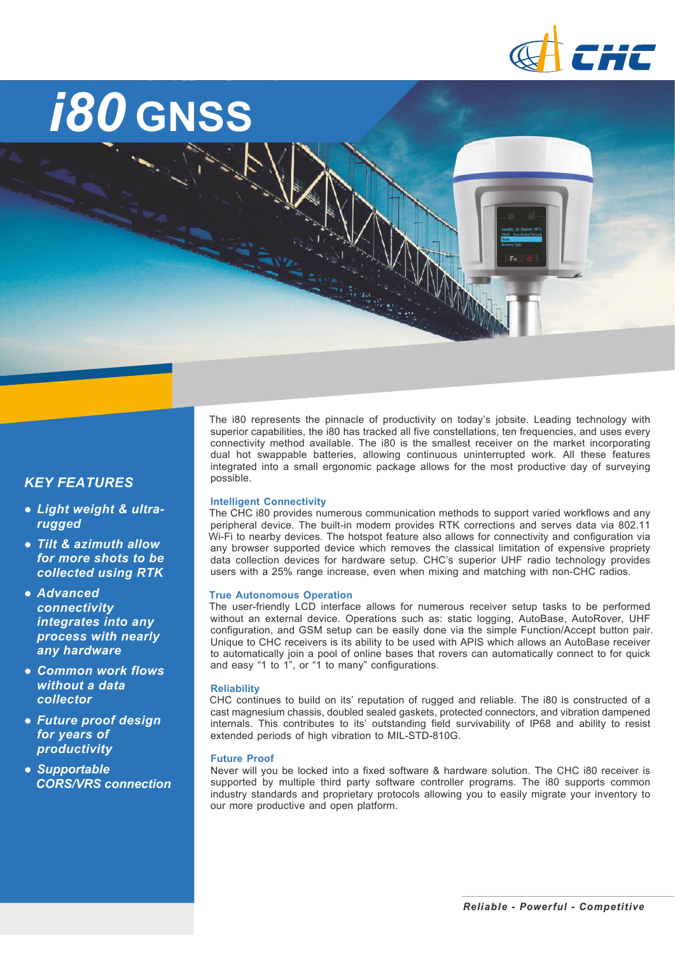

# *i80* **GNSS**

### *KEY FEATURES*

- *● Light weight & ultrarugged*
- *● Tilt & azimuth allow for more shots to be collected using RTK*
- *● Advanced connectivity integrates into any process with nearly any hardware*
- *● Common work flows without a data collector*
- *● Future proof design for years of productivity*
- *● Supportable CORS/VRS connection*

The i80 represents the pinnacle of productivity on today's iobsite. Leading technology with superior capabilities, the i80 has tracked all five constellations, ten frequencies, and uses every connectivity method available. The i80 is the smallest receiver on the market incorporating dual hot swappable batteries, allowing continuous uninterrupted work. All these features integrated into a small ergonomic package allows for the most productive day of surveying possible.

#### **Intelligent Connectivity**

The CHC i80 provides numerous communication methods to support varied workflows and any peripheral device. The built-in modem provides RTK corrections and serves data via 802.11 Wi-Fi to nearby devices. The hotspot feature also allows for connectivity and configuration via any browser supported device which removes the classical limitation of expensive propriety data collection devices for hardware setup. CHC's superior UHF radio technology provides users with a 25% range increase, even when mixing and matching with nonCHC radios.

#### **True Autonomous Operation**

The user-friendly LCD interface allows for numerous receiver setup tasks to be performed without an external device. Operations such as: static logging, AutoBase, AutoRover, UHF configuration, and GSM setup can be easily done via the simple Function/Accept button pair. Unique to CHC receivers is its ability to be used with APIS which allows an AutoBase receiver to automatically join a pool of online bases that rovers can automatically connect to for quick and easy "1 to 1", or "1 to many" configurations.

#### **Reliability**

CHC continues to build on its' reputation of rugged and reliable. The i80 is constructed of a cast magnesium chassis, doubled sealed gaskets, protected connectors, and vibration dampened internals. This contributes to its' outstanding field survivability of IP68 and ability to resist extended periods of high vibration to MIL-STD-810G.

#### **Future Proof**

Never will you be locked into a fixed software & hardware solution. The CHC i80 receiver is supported by multiple third party software controller programs. The i80 supports common industry standards and proprietary protocols allowing you to easily migrate your inventory to our more productive and open platform.